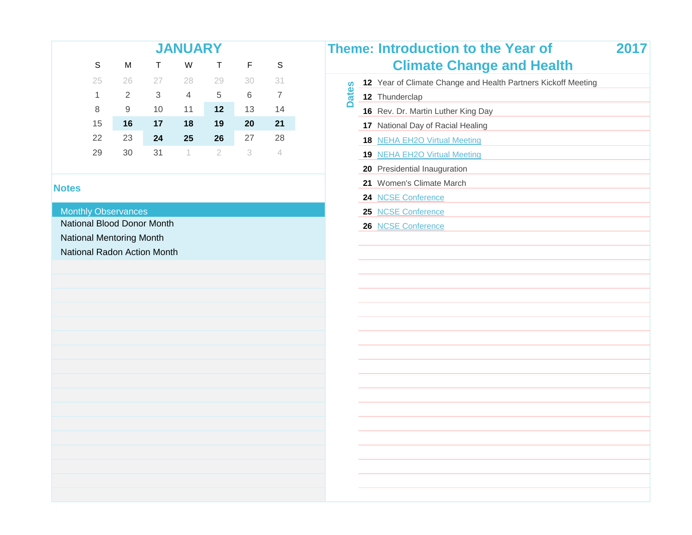|    | Theme: |    |    |    | <b>JANUARY</b> |    |    |    |
|----|--------|----|----|----|----------------|----|----|----|
|    |        | S  | F  |    | W              |    | М  | S  |
| 12 | က္လ    | 31 | 30 | 29 | 28             | 27 | 26 | 25 |
| 12 | ಕ      | 7  | 6  | 5  | $\overline{4}$ | 3  | 2  | 1  |
| 16 |        | 14 | 13 | 12 | 11             | 10 | 9  | 8  |
| 17 |        | 21 | 20 | 19 | 18             | 17 | 16 | 15 |
| 18 |        | 28 | 27 | 26 | 25             | 24 | 23 | 22 |
| 19 |        |    | 3  | 2  | 4              | 31 | 30 | 29 |

#### **Monthly Observances**

National Blood Donor Month

National Mentoring Month

National Radon Action Month

|                 |                           |               | <b>JANUARY</b>             |                |         |                |              | <b>Theme: Introduction to the Year of</b>                     | 2017 |
|-----------------|---------------------------|---------------|----------------------------|----------------|---------|----------------|--------------|---------------------------------------------------------------|------|
| S               | M                         | T.            | W                          | $\top$         | F       | $\mathbb S$    |              | <b>Climate Change and Health</b>                              |      |
| 25              | 26                        | 27            | 28                         | 29             | 30      | 31             |              | 12 Year of Climate Change and Health Partners Kickoff Meeting |      |
| 1               | $\overline{2}$            | $\mathfrak 3$ | $\overline{4}$             | $\overline{5}$ | $\,6\,$ | $\overline{7}$ | <b>Dates</b> | 12 Thunderclap                                                |      |
| 8               | $\hbox{9}$                | 10            | 11                         | 12             | 13      | 14             |              | 16 Rev. Dr. Martin Luther King Day                            |      |
| 15              | 16                        | 17            | 18                         | 19             | 20      | 21             |              | 17 National Day of Racial Healing                             |      |
| $\overline{2}$  | 23                        | 24            | 25                         | 26             | 27      | 28             |              | 18 NEHA EH2O Virtual Meeting                                  |      |
| $\overline{.9}$ | 30                        | 31            | $\left\vert \right\rangle$ | $\overline{2}$ | 3       | $\overline{4}$ |              | 19 NEHA EH2O Virtual Meeting                                  |      |
|                 |                           |               |                            |                |         |                |              | 20 Presidential Inauguration                                  |      |
|                 |                           |               |                            |                |         |                |              | 21 Women's Climate March                                      |      |
|                 |                           |               |                            |                |         |                |              | 24 NCSE Conference                                            |      |
|                 | <b>Observances</b>        |               |                            |                |         |                |              | 25 NCSE Conference                                            |      |
|                 | <b>Blood Donor Month</b>  |               |                            |                |         |                |              | 26 NCSE Conference                                            |      |
|                 | <b>Mentoring Month</b>    |               |                            |                |         |                |              |                                                               |      |
|                 | <b>Radon Action Month</b> |               |                            |                |         |                |              |                                                               |      |
|                 |                           |               |                            |                |         |                |              |                                                               |      |
|                 |                           |               |                            |                |         |                |              |                                                               |      |
|                 |                           |               |                            |                |         |                |              |                                                               |      |
|                 |                           |               |                            |                |         |                |              |                                                               |      |
|                 |                           |               |                            |                |         |                |              |                                                               |      |
|                 |                           |               |                            |                |         |                |              |                                                               |      |
|                 |                           |               |                            |                |         |                |              |                                                               |      |
|                 |                           |               |                            |                |         |                |              |                                                               |      |
|                 |                           |               |                            |                |         |                |              |                                                               |      |
|                 |                           |               |                            |                |         |                |              |                                                               |      |
|                 |                           |               |                            |                |         |                |              |                                                               |      |
|                 |                           |               |                            |                |         |                |              |                                                               |      |
|                 |                           |               |                            |                |         |                |              |                                                               |      |
|                 |                           |               |                            |                |         |                |              |                                                               |      |
|                 |                           |               |                            |                |         |                |              |                                                               |      |
|                 |                           |               |                            |                |         |                |              |                                                               |      |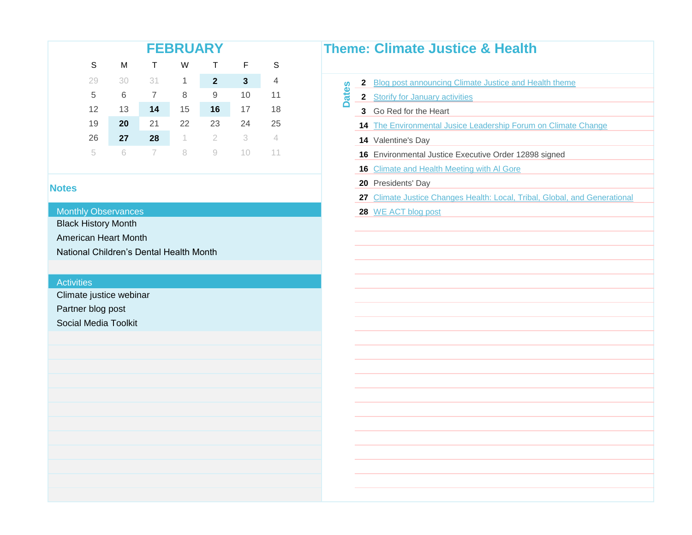| Theme:                 |    |    |              | <b>FEBRUARY</b> |    |    |    |
|------------------------|----|----|--------------|-----------------|----|----|----|
|                        | S  | F  |              | W               |    | M  | S  |
| 2                      | 4  | 3  | $\mathbf{2}$ | 1               | 31 | 30 | 29 |
| ۵<br>ಕ<br>$\mathbf{c}$ | 11 | 10 | 9            | 8               | 7  | 6  | 5  |
| 3                      | 18 | 17 | 16           | 15              | 14 | 13 | 12 |
| 14                     | 25 | 24 | 23           | 22              | 21 | 20 | 19 |
| 14                     |    | 3  | 2            | 1               | 28 | 27 | 26 |
| 16                     |    |    |              |                 |    | R  | 5  |

#### **Monthly Observances**

Black History Month

American Heart Month

National Children's Dental Health Month

#### **Activities**

Climate justice webinar

Partner blog post

Social Media Toolkit

## **Theme: Climate Justice & Health**

- **Dates** 2 [Blog post announcing Climate Justice and Health theme](http://www.publichealthnewswire.org/?p=17098)
	- 2 [Storify for January activities](https://storify.com/APHA/year-of-climate-change-and-health)
	- 3 Go Red for the Heart
	- 14 [The Environmental Jusice Leadership Forum on Climate Change](http://www.ejleadershipforum.org/2017-environmental-justice-webinar-series/)
	- 14 Valentine's Day
	- **16** Environmental Justice Executive Order 12898 signed
	- **16** [Climate and Health Meeting with Al Gore](http://www.publichealthnewswire.org/?p=17098)
	- **20** Presidents' Day
	- **27** [Climate Justice Changes Health: Local, Tribal, Global, and Gene](http://www.apha.org/events-and-meetings/apha-calendar/webinar-events/2017/climate-justice-changes-health)rational
	- **28** [WE ACT blog post](http://www.publichealthnewswire.org/?p=17232)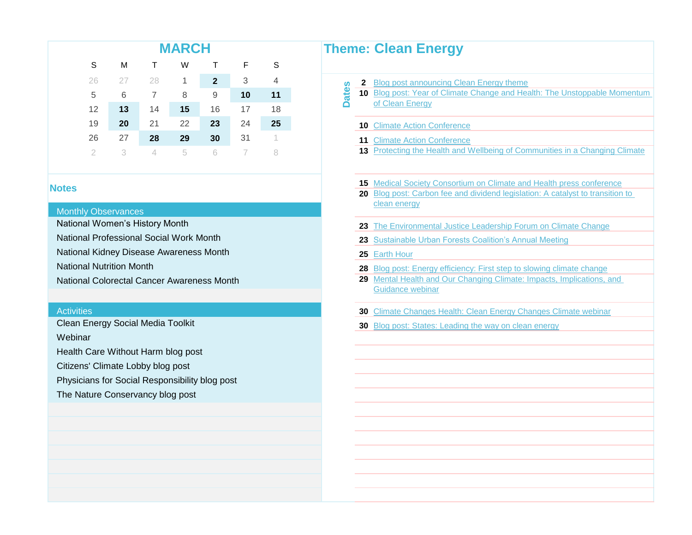## **MARCH**

|     | -S |              |                | W · | $\mathsf{T}$    | м              | -S |
|-----|----|--------------|----------------|-----|-----------------|----------------|----|
|     |    | $\mathbf{3}$ | $\overline{2}$ |     |                 | 27 28 1        | 26 |
| ate | 11 | 10           | 9              | -8  | $7\overline{ }$ | 6              | 5  |
|     | 18 | 17           | 16             | 15  | 14              | 13             | 12 |
|     | 25 | 24           | 23             | 22  | 21              | 20             | 19 |
|     |    | 31           | 30             | 29  | 28              | 27             | 26 |
|     |    |              | 6              | 4 5 |                 | 3 <sup>3</sup> |    |

#### Monthly Observances

- National Women's History Month
- National Professional Social Work Month
- National Kidney Disease Awareness Month
- National Nutrition Month
- 

- Clean Energy Social Media Toolkit
- **Webinar**
- Health Care Without Harm blog post
- Citizens' Climate Lobby blog post
- Physicians for Social Responsibility blog post
- The Nature Conservancy blog post

## **Theme: Clean Energy**

- **Dates** 2 [Blog post announcing Clean Energy theme](http://www.publichealthnewswire.org/?p=17263)
	- **10** [Blog post: Year of Climate Change and Health: The Unstoppable](https://medium.com/@HCWH/year-of-climate-and-health-the-unstoppable-momentum-of-clean-energy-2d0025ed14ea) Momentum [of Clean Energy](https://medium.com/@HCWH/year-of-climate-and-health-the-unstoppable-momentum-of-clean-energy-2d0025ed14ea)
	- **10 [Climate Action Conference](https://tisch.nyu.edu/tisch-research-news-events/research-at-tisch/upcoming-events/the-reckoning)**
	- **11 [Climate Action Conference](https://tisch.nyu.edu/tisch-research-news-events/research-at-tisch/upcoming-events/the-reckoning)**
	- **13** [Protecting the Health and Wellbeing of Communities in a Changi](http://www.nationalacademies.org/hmd/Activities/PublicHealth/PopulationHealthImprovementRT/2017-MAR-13.aspx)ng Climate
- **15** [Medical Society Consortium on Climate and Health press confere](https://www.eventbrite.com/e/national-launch-event-and-report-release-tickets-32097021054)nce<br> **15** Medical Society Consortium on Climate and Health press conference
	- **20** [Blog post: Carbon fee and dividend legislation: A catalyst to trans](http://www.publichealthnewswire.org/?p=17359)ition to [clean energy](http://www.publichealthnewswire.org/?p=17359)
	- **23** [The Environmental Justice Leadership Forum on Climate Change](http://www.ejleadershipforum.org/2017-environmental-justice-webinar-series/)
	- **23** [Sustainable Urban Forests Coalition's Annual Meeting](http://www.urbanforestcoalition.org/calendar/coalitionActivities.aspx)
	- **25** [Earth Hour](https://support.worldwildlife.org/site/Advocacy;jsessionid=00000000.app244a?cmd=display&page=UserAction&id=925&autologin=true&link=txt1&utm_campaign=earthhour&utm_medium=email&utm_source=advocacy-alert&utm_content=170223-aecd&NONCE_TOKEN=F2DEEDEE77C57EC62)
	- 28 [Blog post: Energy efficiency: First step to slowing climate change](http://www.publichealthnewswire.org/?p=17410)
	- National Colorectal Cancer Awareness Month Mental [Mental Health and Our Changing Climate: Impacts, Implications,](http://climateforhealth.org/mental-health-impacts-report) and [Guidance webinar](http://climateforhealth.org/mental-health-impacts-report)
	- **30** [Climate Changes Health: Clean Energy Changes Climate webina](https://www.apha.org/events-and-meetings/apha-calendar/webinar-events/2017/clean-energy-changes-climate)ry Changes Health: Clean Energy Changes Climate webinary
		- **30** [Blog post: States: Leading the way on clean energy](http://www.publichealthnewswire.org/?p=17415)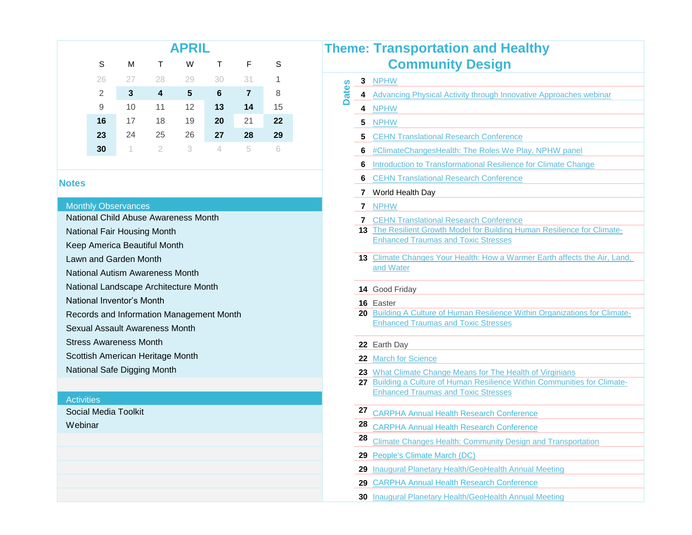|    |    |    | <b>APRIL</b> |    |     | <b>Theme: Transportation and H</b> |                                                |
|----|----|----|--------------|----|-----|------------------------------------|------------------------------------------------|
| S  | м  |    | W            |    |     |                                    | <b>Community Design</b>                        |
| 26 |    | 28 | 29           | 30 | -31 |                                    | <b>NPHW</b>                                    |
| 2  | 3  | 4  | 5            | 6  | 7   | 8                                  | ഉ<br>4 Advancing Physical Activity through Inn |
| 9  | 10 | 11 | 12           | 13 | 14  | 15                                 | <b>NPHW</b><br>4                               |
| 16 | 17 | 18 | 19           | 20 | 21  | 22                                 | <b>NPHW</b><br>5                               |
| 23 | 24 | 25 | 26           | 27 | 28  | 29                                 | <b>5</b> CEHN Translational Research Conferer  |
| 30 |    |    |              |    | 5   |                                    | #ClimateChangesHealth: The Roles We<br>6.      |

#### **Monthly Observances**

- National Child Abuse Awareness Month
- National Fair Housing Month
- Keep America Beautiful Month
- Lawn and Garden Month
- National Autism Awareness Month
- National Landscape Architecture Month
- National Inventor's Month
- Records and Information Management Month
- Sexual Assault Awareness Month
- Stress Awareness Month
- Scottish American Heritage Month
- National Safe Digging Month

#### Activities

Webinar Social Media Toolkit

|              |    | <b>Theme: Transportation and Healthy</b>                                                                                               |
|--------------|----|----------------------------------------------------------------------------------------------------------------------------------------|
|              |    | <b>Community Design</b>                                                                                                                |
|              | 3  | <b>NPHW</b>                                                                                                                            |
| <b>Dates</b> | 4  | Advancing Physical Activity through Innovative Approaches webinar                                                                      |
|              | 4  | <b>NPHW</b>                                                                                                                            |
|              | 5  | <b>NPHW</b>                                                                                                                            |
|              | 5  | <b>CEHN Translational Research Conference</b>                                                                                          |
|              | 6  | #ClimateChangesHealth: The Roles We Play, NPHW panel                                                                                   |
|              | 6  | Introduction to Transformational Resilience for Climate Change                                                                         |
|              | 6  | <b>CEHN Translational Research Conference</b>                                                                                          |
|              | 7  | World Health Day                                                                                                                       |
|              |    | 7 NPHW                                                                                                                                 |
|              |    | <b>7 CEHN Translational Research Conference</b>                                                                                        |
|              |    | 13 The Resilient Growth Model for Building Human Resilience for Climate-<br><b>Enhanced Traumas and Toxic Stresses</b>                 |
|              |    |                                                                                                                                        |
|              |    | 13 Climate Changes Your Health: How a Warmer Earth affects the Air, Land,<br>and Water                                                 |
|              |    |                                                                                                                                        |
|              |    | 14 Good Friday                                                                                                                         |
|              |    | 16 Easter<br>20 Building A Culture of Human Resilience Within Organizations for Climate-                                               |
|              |    | <b>Enhanced Traumas and Toxic Stresses</b>                                                                                             |
|              |    |                                                                                                                                        |
|              |    | 22 Earth Day                                                                                                                           |
|              |    | 22 March for Science                                                                                                                   |
|              |    | 23 What Climate Change Means for The Health of Virginians<br>27 Building a Culture of Human Resilience Within Communities for Climate- |
|              |    | <b>Enhanced Traumas and Toxic Stresses</b>                                                                                             |
|              | 27 |                                                                                                                                        |
|              | 28 | <b>CARPHA Annual Health Research Conference</b>                                                                                        |
|              | 28 | <b>CARPHA Annual Health Research Conference</b>                                                                                        |
|              |    | Climate Changes Health: Community Design and Transportation                                                                            |
|              | 29 | People's Climate March (DC)                                                                                                            |
|              | 29 | <b>Inaugural Planetary Health/GeoHealth Annual Meeting</b>                                                                             |
|              | 29 | <b>CARPHA Annual Health Research Conference</b>                                                                                        |
|              | 30 | Inaugural Planetary Health/GeoHealth Annual Meeting                                                                                    |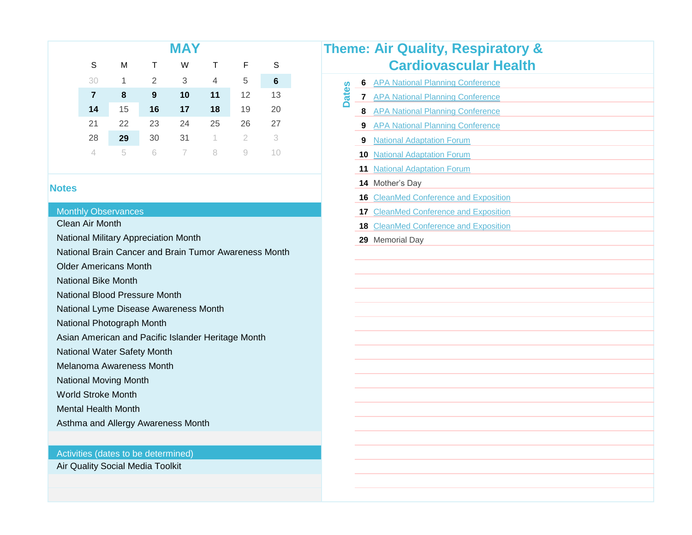|                                      |    |    | <b>MAY</b> |                |    |    |
|--------------------------------------|----|----|------------|----------------|----|----|
| S                                    | M  | Τ  | W          |                | F  | S  |
| 30                                   | 1  | 2  | 3          | $\overline{4}$ | 5  | 6  |
| $\overline{7}$                       | 8  | 9  | 10         | 11             | 12 | 13 |
| 14                                   | 15 | 16 | 17         | 18             | 19 | 20 |
| 21                                   | 22 | 23 | 24         | 25             | 26 | 27 |
| 28                                   | 29 | 30 | 31         | 1              | 2  | 3  |
| 4                                    | 5  | 6  |            | 8              | 9  | 10 |
|                                      |    |    |            |                |    |    |
| otes                                 |    |    |            |                |    |    |
|                                      |    |    |            |                |    |    |
| <b>Monthly Observances</b>           |    |    |            |                |    |    |
| <b>Clean Air Month</b>               |    |    |            |                |    |    |
| National Military Appreciation Month |    |    |            |                |    |    |

#### Monthly Observances

National Brain Cancer and Brain Tumor Awareness Month

Older Americans Month

National Bike Month

National Blood Pressure Month

National Lyme Disease Awareness Month

National Photograph Month

Asian American and Pacific Islander Heritage Month

National Water Safety Month

Melanoma Awareness Month

National Moving Month

World Stroke Month

Mental Health Month

Asthma and Allergy Awareness Month

#### Activities (dates to be determined)

Air Quality Social Media Toolkit

|                 |                             |                | <b>MAY</b>                                  |    |              |                                              | <b>Theme: Air Quality, Respiratory &amp;</b>       |
|-----------------|-----------------------------|----------------|---------------------------------------------|----|--------------|----------------------------------------------|----------------------------------------------------|
| S               | м                           | т              | W                                           | т  | F            | S                                            | <b>Cardiovascular Health</b>                       |
| 30              | $\mathbf{1}$                | $\overline{2}$ | 3                                           | 4  | 5            | 6                                            | <b>APA National Planning Conference</b><br>6       |
| 7               | 8                           | 9              | 10                                          | 11 | 12           | 13                                           | <b>Dates</b><br>7 APA National Planning Conference |
| 14              | 15                          | 16             | 17                                          | 18 | 19           | 20                                           | 8 APA National Planning Conference                 |
| $\overline{21}$ | 22                          | 23             | 24                                          | 25 | 26           | 27                                           | 9 APA National Planning Conference                 |
| 28              | 29                          | 30             | 31                                          | 1  | $\mathbf{2}$ | 3                                            | <b>National Adaptation Forum</b><br>9              |
| 4               | 5                           | 6              | 7                                           | 8  | 9            | 10                                           | <b>10 National Adaptation Forum</b>                |
|                 |                             |                |                                             |    |              |                                              | <b>11 National Adaptation Forum</b>                |
|                 |                             |                |                                             |    |              |                                              | 14 Mother's Day                                    |
|                 |                             |                |                                             |    |              |                                              | <b>16</b> CleanMed Conference and Exposition       |
|                 | <b>Observances</b>          |                |                                             |    |              |                                              | <b>17 CleanMed Conference and Exposition</b>       |
| r Month         |                             |                |                                             |    |              |                                              | <b>18 CleanMed Conference and Exposition</b>       |
|                 |                             |                | <b>Military Appreciation Month</b>          |    |              |                                              | 29 Memorial Day                                    |
|                 |                             |                |                                             |    |              | Brain Cancer and Brain Tumor Awareness Month |                                                    |
|                 | nericans Month              |                |                                             |    |              |                                              |                                                    |
|                 | <b>Bike Month</b>           |                |                                             |    |              |                                              |                                                    |
|                 | <b>Blood Pressure Month</b> |                |                                             |    |              |                                              |                                                    |
|                 |                             |                | Lyme Disease Awareness Month                |    |              |                                              |                                                    |
|                 | Photograph Month            |                |                                             |    |              |                                              |                                                    |
|                 |                             |                | nerican and Pacific Islander Heritage Month |    |              |                                              |                                                    |
|                 | <b>Water Safety Month</b>   |                |                                             |    |              |                                              |                                                    |
|                 | a Awareness Month           |                |                                             |    |              |                                              |                                                    |
|                 | <b>Moving Month</b>         |                |                                             |    |              |                                              |                                                    |
|                 | roke Month                  |                |                                             |    |              |                                              |                                                    |
|                 | lealth Month                |                |                                             |    |              |                                              |                                                    |
|                 |                             |                | and Allergy Awareness Month                 |    |              |                                              |                                                    |
|                 |                             |                |                                             |    |              |                                              |                                                    |
|                 | (dates to be determined)    |                |                                             |    |              |                                              |                                                    |
|                 | ty Social Media Toolkit     |                |                                             |    |              |                                              |                                                    |
|                 |                             |                |                                             |    |              |                                              |                                                    |
|                 |                             |                |                                             |    |              |                                              |                                                    |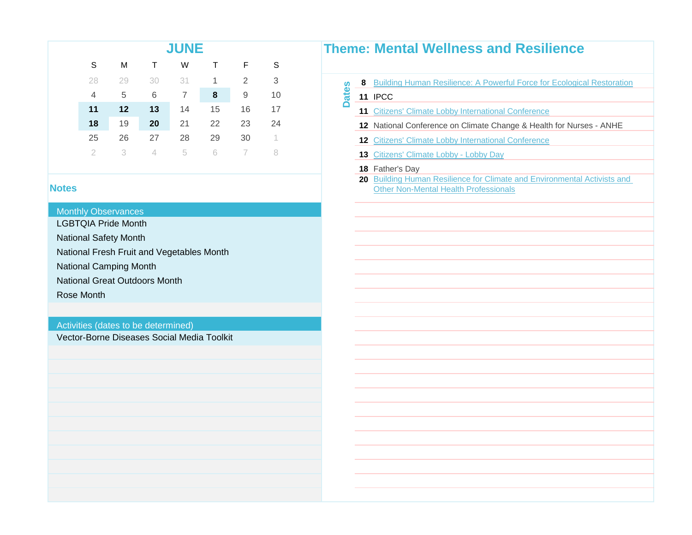| <b>Theme:</b> |    |    |    | <b>JUNE</b> |    |    |    |  |
|---------------|----|----|----|-------------|----|----|----|--|
|               | S  | F  |    | W           | Τ  | M  | S  |  |
| 8<br>8        | 3  | 2  | 1  | 31          | 30 | 29 | 28 |  |
| ಕ<br>11       | 10 | 9  | 8  | 7           | 6  | 5  | 4  |  |
| 11            | 17 | 16 | 15 | 14          | 13 | 12 | 11 |  |
| 12            | 24 | 23 | 22 | 21          | 20 | 19 | 18 |  |
| 12            |    | 30 | 29 | 28          | 27 | 26 | 25 |  |
| 13            |    |    | ĥ  | 5           |    | 3  | 2  |  |

#### **Monthly Observances**

LGBTQIA Pride Month

National Safety Month

National Fresh Fruit and Vegetables Month

National Camping Month

National Great Outdoors Month

Rose Month

#### Activities (dates to be determined)

Vector-Borne Diseases Social Media Toolkit

#### **Theme: Mental Wellness and Resilience**

| 28 29 30 31 <b>1 2 3</b> | 6 <b>8</b> Building Human Resilience: A Powerful Force for Ecological Restoration |
|--------------------------|-----------------------------------------------------------------------------------|
|--------------------------|-----------------------------------------------------------------------------------|

#### **11 IPCC Dates**

- 11 [Citizens' Climate Lobby International Conference](http://citizensclimatelobby.org/2017-ccl-conference/)
- **12** National Conference on Climate Change & Health for Nurses ANHE
- 12 [Citizens' Climate Lobby International Conference](http://citizensclimatelobby.org/2017-ccl-conference/)
- 13 [Citizens' Climate Lobby Lobby Day](http://citizensclimatelobby.org/2017-ccl-conference/)

#### **18** Father's Day

20 [Building Human Resilience for Climate and Environmental Activis](https://docs.google.com/a/trig-cli.org/forms/d/e/1FAIpQLSc8TAYfFdzBbORLfgCfWbEU5i_w7mEimkUgS6ZwRxU3R-lwLQ/viewform)ts and [Other Non-Mental Health Professionals](https://docs.google.com/a/trig-cli.org/forms/d/e/1FAIpQLSc8TAYfFdzBbORLfgCfWbEU5i_w7mEimkUgS6ZwRxU3R-lwLQ/viewform)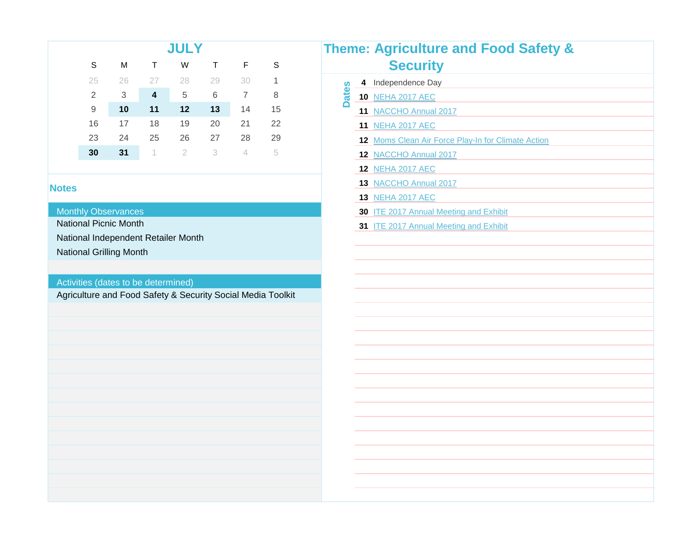|                |    |                         | <b>JULY</b> |    |    |    | <b>Theme: Agriculture a</b>    |
|----------------|----|-------------------------|-------------|----|----|----|--------------------------------|
| S              | м  |                         | W           |    | F  | S  | <b>Security</b>                |
| 25             | 26 |                         | 28          | 29 | 30 | 1  | 4 Independence Day             |
| $\overline{2}$ | 3  | $\overline{\mathbf{4}}$ | 5           | 6  |    | 8  | Φ<br><b>10 NEHA 2017 AEC</b>   |
| 9              | 10 | 11                      | 12          | 13 | 14 | 15 | <b>NACCHO Annual 2017</b>      |
| 16             | 17 | 18                      | 19          | 20 | 21 | 22 | <b>NEHA 2017 AEC</b>           |
| 23             | 24 | 25                      | 26          | 27 | 28 | 29 | <b>12</b> Moms Clean Air Force |
| 30             | 31 |                         |             | 3  | 4  | 5  | <b>NACCHO Annual 2017</b>      |
|                |    |                         |             |    |    |    |                                |

#### Monthly Observances

National Picnic Month

National Independent Retailer Month

National Grilling Month

#### Activities (dates to be determined)

Agriculture and Food Safety & Security Social Media Toolkit

|              |   | <b>Theme: Agriculture and Food Safety &amp;</b>    |  |  |  |  |  |  |  |  |  |
|--------------|---|----------------------------------------------------|--|--|--|--|--|--|--|--|--|
|              |   | <b>Security</b>                                    |  |  |  |  |  |  |  |  |  |
|              | 4 | Independence Day                                   |  |  |  |  |  |  |  |  |  |
| <b>Dates</b> |   | 10 NEHA 2017 AEC                                   |  |  |  |  |  |  |  |  |  |
|              |   | 11 NACCHO Annual 2017                              |  |  |  |  |  |  |  |  |  |
|              |   | 11 NEHA 2017 AEC                                   |  |  |  |  |  |  |  |  |  |
|              |   | 12 Moms Clean Air Force Play-In for Climate Action |  |  |  |  |  |  |  |  |  |
|              |   | 12 NACCHO Annual 2017                              |  |  |  |  |  |  |  |  |  |
|              |   | <b>12 NEHA 2017 AEC</b>                            |  |  |  |  |  |  |  |  |  |
|              |   | 13 NACCHO Annual 2017                              |  |  |  |  |  |  |  |  |  |
|              |   | <b>13 NEHA 2017 AEC</b>                            |  |  |  |  |  |  |  |  |  |
|              |   | 30 ITE 2017 Annual Meeting and Exhibit             |  |  |  |  |  |  |  |  |  |
|              |   | 31 ITE 2017 Annual Meeting and Exhibit             |  |  |  |  |  |  |  |  |  |
|              |   |                                                    |  |  |  |  |  |  |  |  |  |
|              |   |                                                    |  |  |  |  |  |  |  |  |  |
|              |   |                                                    |  |  |  |  |  |  |  |  |  |
|              |   |                                                    |  |  |  |  |  |  |  |  |  |
|              |   |                                                    |  |  |  |  |  |  |  |  |  |
|              |   |                                                    |  |  |  |  |  |  |  |  |  |
|              |   |                                                    |  |  |  |  |  |  |  |  |  |
|              |   |                                                    |  |  |  |  |  |  |  |  |  |
|              |   |                                                    |  |  |  |  |  |  |  |  |  |
|              |   |                                                    |  |  |  |  |  |  |  |  |  |
|              |   |                                                    |  |  |  |  |  |  |  |  |  |
|              |   |                                                    |  |  |  |  |  |  |  |  |  |
|              |   |                                                    |  |  |  |  |  |  |  |  |  |
|              |   |                                                    |  |  |  |  |  |  |  |  |  |
|              |   |                                                    |  |  |  |  |  |  |  |  |  |
|              |   |                                                    |  |  |  |  |  |  |  |  |  |
|              |   |                                                    |  |  |  |  |  |  |  |  |  |
|              |   |                                                    |  |  |  |  |  |  |  |  |  |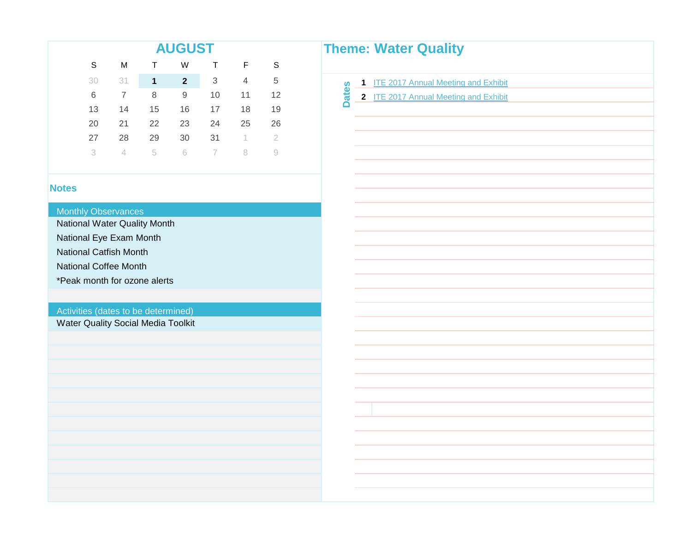|                                     |                |              | <b>AUGUST</b> |                           |                  |                   |              | <b>Theme: Water Quality</b>                               |  |
|-------------------------------------|----------------|--------------|---------------|---------------------------|------------------|-------------------|--------------|-----------------------------------------------------------|--|
| $\mathsf S$                         | M              | $\mathsf T$  | W             | Т                         | F                | $\mathsf S$       |              |                                                           |  |
| 30                                  | 31             | $\mathbf{1}$ | $\mathbf{2}$  | $\ensuremath{\mathsf{3}}$ | $\overline{4}$   | 5                 |              | <b>ITE 2017 Annual Meeting and Exhibit</b><br>$\mathbf 1$ |  |
| 6                                   | $\overline{7}$ | 8            | $9$           | 10                        | 11               | 12                | <b>Dates</b> | 2 ITE 2017 Annual Meeting and Exhibit                     |  |
| 13                                  | 14             | 15           | 16            | 17                        | 18               | 19                |              |                                                           |  |
| 20                                  | 21             | 22           | 23            | 24                        | 25               | 26                |              |                                                           |  |
| 27                                  | 28             | 29           | 30            | 31                        | $\left  \right $ | $\overline{2}$    |              |                                                           |  |
| 3                                   | $\overline{4}$ | 5            | $\mathbf 6$   | $\overline{ }$            | $\, 8$           | $\mathrel{\odot}$ |              |                                                           |  |
|                                     |                |              |               |                           |                  |                   |              |                                                           |  |
| <b>Notes</b>                        |                |              |               |                           |                  |                   |              |                                                           |  |
|                                     |                |              |               |                           |                  |                   |              |                                                           |  |
| <b>Monthly Observances</b>          |                |              |               |                           |                  |                   |              |                                                           |  |
| National Water Quality Month        |                |              |               |                           |                  |                   |              |                                                           |  |
| National Eye Exam Month             |                |              |               |                           |                  |                   |              |                                                           |  |
| <b>National Catfish Month</b>       |                |              |               |                           |                  |                   |              |                                                           |  |
| <b>National Coffee Month</b>        |                |              |               |                           |                  |                   |              |                                                           |  |
| *Peak month for ozone alerts        |                |              |               |                           |                  |                   |              |                                                           |  |
|                                     |                |              |               |                           |                  |                   |              |                                                           |  |
| Activities (dates to be determined) |                |              |               |                           |                  |                   |              |                                                           |  |
| Water Quality Social Media Toolkit  |                |              |               |                           |                  |                   |              |                                                           |  |
|                                     |                |              |               |                           |                  |                   |              |                                                           |  |
|                                     |                |              |               |                           |                  |                   |              |                                                           |  |
|                                     |                |              |               |                           |                  |                   |              |                                                           |  |
|                                     |                |              |               |                           |                  |                   |              |                                                           |  |
|                                     |                |              |               |                           |                  |                   |              |                                                           |  |
|                                     |                |              |               |                           |                  |                   |              |                                                           |  |
|                                     |                |              |               |                           |                  |                   |              |                                                           |  |
|                                     |                |              |               |                           |                  |                   |              |                                                           |  |
|                                     |                |              |               |                           |                  |                   |              |                                                           |  |
|                                     |                |              |               |                           |                  |                   |              |                                                           |  |
|                                     |                |              |               |                           |                  |                   |              |                                                           |  |
|                                     |                |              |               |                           |                  |                   |              |                                                           |  |

and the control of the control of the

<u> 1980 - Johann Barnett, mars et al.</u> <u> 1989 - Johann Barnett, fransk politiker (</u> and the control of the control of the control of <u> Listen de la construcción de la construcción de la construcción de la construcción de la construcción de la c</u> <u> 1989 - Johann Barnett, fransk politiker (</u> and the control of the control of the control of and the control of the control of the control of <u> 1980 - Jan Barat, politik a</u> and the control of the control of the control of <u> 1980 - Johann Barnett, mars et al.</u> and the control of the control of the and the control of the control of <u> 1989 - Johann Barnett, fransk politiker (</u> and the control of the control of the and the control of the control of the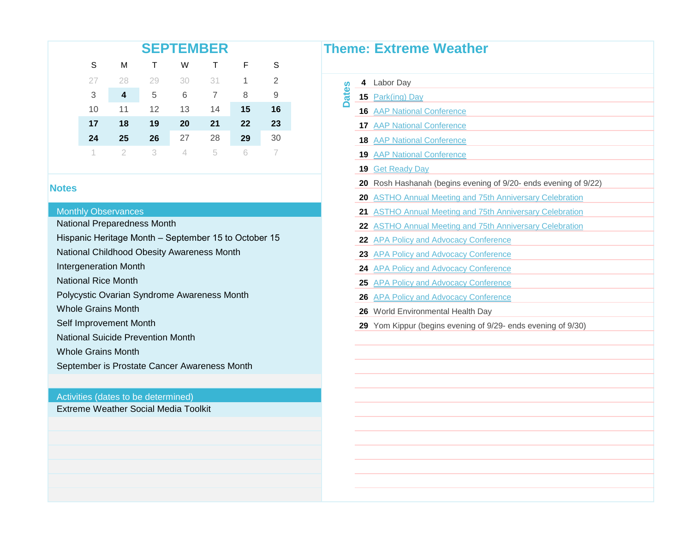| Theme:  |    |    |    | <b>SEPTEMBER</b> |    |    |    |  |
|---------|----|----|----|------------------|----|----|----|--|
|         | S  | F  |    | W                |    | М  | S  |  |
| ပ္ပ     | 2  |    | 31 | 30               | 29 | 28 | 27 |  |
| ಕ<br>15 | 9  | 8  |    | 6                | 5  | 4  | 3  |  |
| 16      | 16 | 15 | 14 | 13               | 12 | 11 | 10 |  |
| 17      | 23 | 22 | 21 | 20               | 19 | 18 | 17 |  |
| 18      | 30 | 29 | 28 | 27               | 26 | 25 | 24 |  |
| 19      |    |    | 5  |                  | 3  |    |    |  |

#### **Monthly Observances**

National Preparedness Month

Hispanic Heritage Month – September 15 to October 15

National Childhood Obesity Awareness Month

Intergeneration Month

National Rice Month

Polycystic Ovarian Syndrome Awareness Month

Whole Grains Month

Self Improvement Month

National Suicide Prevention Month

Whole Grains Month

September is Prostate Cancer Awareness Month

#### Activities (dates to be determined)

Extreme Weather Social Media Toolkit

| 4  | Labor Day                                                       |
|----|-----------------------------------------------------------------|
| 15 | Park(ing) Day                                                   |
|    | <b>16 AAP National Conference</b>                               |
|    | <b>17 AAP National Conference</b>                               |
|    | <b>18 AAP National Conference</b>                               |
|    | <b>19 AAP National Conference</b>                               |
|    | <b>19 Get Ready Day</b>                                         |
|    | 20 Rosh Hashanah (begins evening of 9/20- ends evening of 9/22) |
|    | 20 ASTHO Annual Meeting and 75th Anniversary Celebration        |
| 21 | <b>ASTHO Annual Meeting and 75th Anniversary Celebration</b>    |
|    | 22 ASTHO Annual Meeting and 75th Anniversary Celebration        |
|    | 22 APA Policy and Advocacy Conference                           |
|    | 23 APA Policy and Advocacy Conference                           |
|    | 24 APA Policy and Advocacy Conference                           |
| 25 | <b>APA Policy and Advocacy Conference</b>                       |
|    | 26 APA Policy and Advocacy Conference                           |
|    | 26 World Environmental Health Day                               |
|    | 29 Yom Kippur (begins evening of 9/29- ends evening of 9/30)    |
|    |                                                                 |
|    |                                                                 |
|    |                                                                 |
|    |                                                                 |
|    |                                                                 |
|    |                                                                 |
|    |                                                                 |
|    |                                                                 |
|    |                                                                 |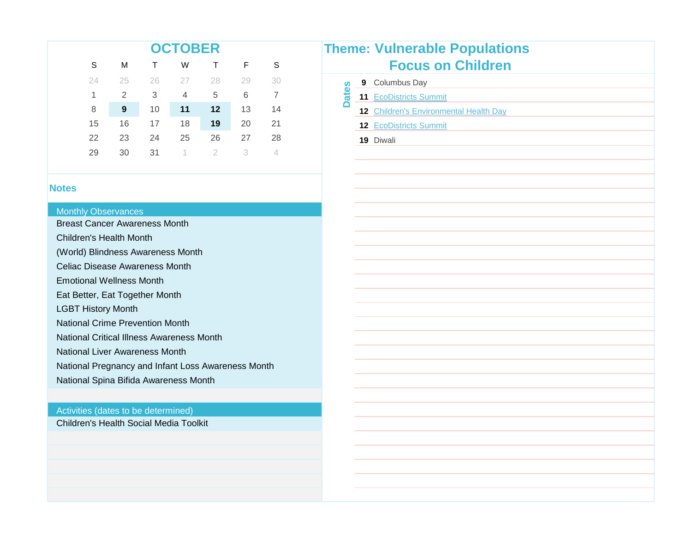|    |    |    | <b>OCTOBER</b> |                   |    |              |                                               |
|----|----|----|----------------|-------------------|----|--------------|-----------------------------------------------|
|    |    |    |                |                   |    |              | <b>Theme: Vulnerable Population</b>           |
| S  | М  |    | W              |                   | F. | <sub>S</sub> | <b>Focus on Children</b>                      |
| 24 | 25 | 26 |                | 28                | 29 | -30          | <b>9</b> Columbus Day                         |
|    | 2  | 3  | 4              | 5                 | 6  |              | <b>11 EcoDistricts Summit</b>                 |
| 8  | 9  | 10 | 11             | $12 \ \mathsf{ }$ | 13 | 14           | <b>12 Children's Environmental Health Day</b> |
| 15 | 16 | 17 | 18             | 19                | 20 | 21           | <b>12 EcoDistricts Summit</b>                 |
| 22 | 23 | 24 | 25             | 26                | 27 | 28           | 19 Diwali                                     |
| 29 | 30 | 31 |                |                   |    |              |                                               |
|    |    |    |                |                   |    |              |                                               |

#### **Monthly Observances**

Breast Cancer Awareness Month

Children's Health Month

(World) Blindness Awareness Month

Celiac Disease Awareness Month

Emotional Wellness Month

Eat Better, Eat Together Month

LGBT History Month

National Crime Prevention Month

National Critical Illness Awareness Month

National Liver Awareness Month

National Pregnancy and Infant Loss Awareness Month

National Spina Bifida Awareness Month

#### Activities (dates to be determined)

Children's Health Social Media Toolkit

|              | <b>Theme: Vulnerable Populations</b>   |
|--------------|----------------------------------------|
|              | <b>Focus on Children</b>               |
|              | 9 Columbus Day                         |
| <b>Dates</b> | 11 EcoDistricts Summit                 |
|              | 12 Children's Environmental Health Day |
|              | 12 EcoDistricts Summit                 |
|              | 19 Diwali                              |
|              |                                        |
|              |                                        |
|              |                                        |
|              |                                        |
|              |                                        |
|              |                                        |
|              |                                        |
|              |                                        |
|              |                                        |
|              |                                        |
|              |                                        |
|              |                                        |
|              |                                        |
|              |                                        |
|              |                                        |
|              |                                        |
|              |                                        |
|              |                                        |
|              |                                        |
|              |                                        |
|              |                                        |
|              |                                        |
|              |                                        |
|              |                                        |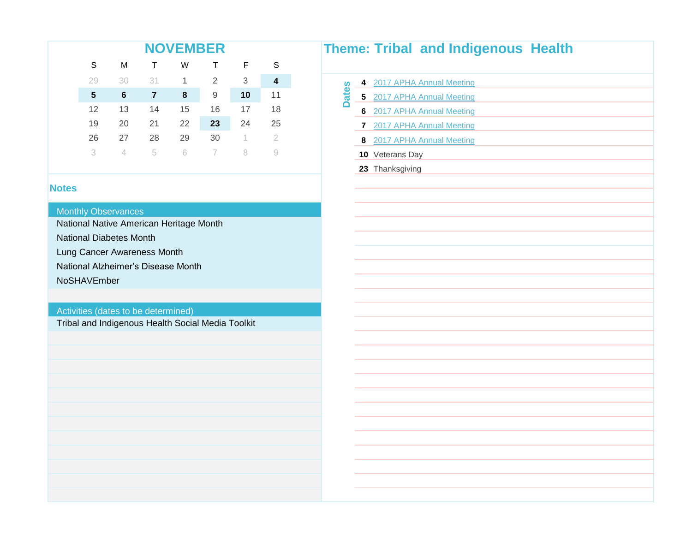| Theme: |    |    |    | <b>NOVEMBER</b> |    |    |    |  |
|--------|----|----|----|-----------------|----|----|----|--|
|        | S  | F. |    | W               |    | M  | S  |  |
| ဖိ     | 4  | 3  | 2  | 1               | 31 | 30 | 29 |  |
| 后<br>5 | 11 | 10 | 9  | 8               | 7  | 6  | 5  |  |
| 6      | 18 | 17 | 16 | 15              | 14 | 13 | 12 |  |
|        | 25 | 24 | 23 | 22              | 21 | 20 | 19 |  |
| 8      | 2  |    | 30 | 29              | 28 | 27 | 26 |  |
| 10     |    |    |    | 6               | 5  |    | 3  |  |

#### Monthly Observances

National Native American Heritage Month

National Diabetes Month

Lung Cancer Awareness Month

National Alzheimer's Disease Month

NoSHAVEmber

#### Activities (dates to be determined)

Tribal and Indigenous Health Social Media Toolkit

|              |                         | <b>Theme: Tribal and Indigenous Health</b> |
|--------------|-------------------------|--------------------------------------------|
|              | $\overline{\mathbf{4}}$ | 2017 APHA Annual Meeting                   |
| <b>Dates</b> | $5\phantom{a}$          | 2017 APHA Annual Meeting                   |
|              | $6\phantom{1}$          | 2017 APHA Annual Meeting                   |
|              | $\overline{7}$          | 2017 APHA Annual Meeting                   |
|              | 8                       | 2017 APHA Annual Meeting                   |
|              |                         | 10 Veterans Day                            |
|              |                         | 23 Thanksgiving                            |
|              |                         |                                            |
|              |                         |                                            |
|              |                         |                                            |
|              |                         |                                            |
|              |                         |                                            |
|              |                         |                                            |
|              |                         |                                            |
|              |                         |                                            |
|              |                         |                                            |
|              |                         |                                            |
|              |                         |                                            |
|              |                         |                                            |
|              |                         |                                            |
|              |                         |                                            |
|              |                         |                                            |
|              |                         |                                            |
|              |                         |                                            |
|              |                         |                                            |
|              |                         |                                            |
|              |                         |                                            |
|              |                         |                                            |
|              |                         |                                            |